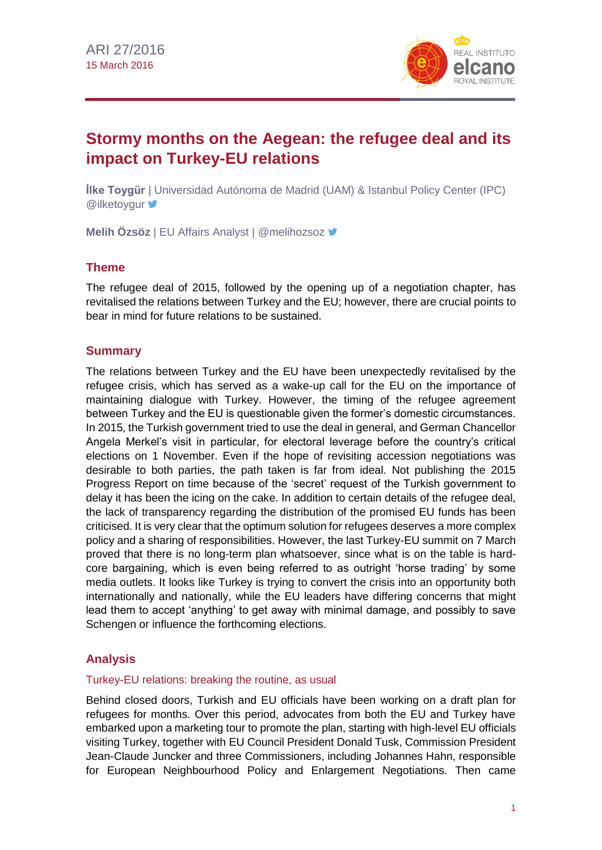

# **Stormy months on the Aegean: the refugee deal and its impact on Turkey-EU relations**

**İlke Toygür** | Universidad Autónoma de Madrid (UAM) & Istanbul Policy Center (IPC) **@ilketoygur** 

**Melih Özsöz** | EU Affairs Analyst | @melihozsoz

# **Theme**

The refugee deal of 2015, followed by the opening up of a negotiation chapter, has revitalised the relations between Turkey and the EU; however, there are crucial points to bear in mind for future relations to be sustained.

# **Summary**

The relations between Turkey and the EU have been unexpectedly revitalised by the refugee crisis, which has served as a wake-up call for the EU on the importance of maintaining dialogue with Turkey. However, the timing of the refugee agreement between Turkey and the EU is questionable given the former's domestic circumstances. In 2015, the Turkish government tried to use the deal in general, and German Chancellor Angela Merkel's visit in particular, for electoral leverage before the country's critical elections on 1 November. Even if the hope of revisiting accession negotiations was desirable to both parties, the path taken is far from ideal. Not publishing the 2015 Progress Report on time because of the 'secret' request of the Turkish government to delay it has been the icing on the cake. In addition to certain details of the refugee deal, the lack of transparency regarding the distribution of the promised EU funds has been criticised. It is very clear that the optimum solution for refugees deserves a more complex policy and a sharing of responsibilities. However, the last Turkey-EU summit on 7 March proved that there is no long-term plan whatsoever, since what is on the table is hardcore bargaining, which is even being referred to as outright 'horse trading' by some media outlets. It looks like Turkey is trying to convert the crisis into an opportunity both internationally and nationally, while the EU leaders have differing concerns that might lead them to accept 'anything' to get away with minimal damage, and possibly to save Schengen or influence the forthcoming elections.

# **Analysis**

### Turkey-EU relations: breaking the routine, as usual

Behind closed doors, Turkish and EU officials have been working on a draft plan for refugees for months. Over this period, advocates from both the EU and Turkey have embarked upon a marketing tour to promote the plan, starting with high-level EU officials visiting Turkey, together with EU Council President Donald Tusk, Commission President Jean-Claude Juncker and three Commissioners, including Johannes Hahn, responsible for European Neighbourhood Policy and Enlargement Negotiations. Then came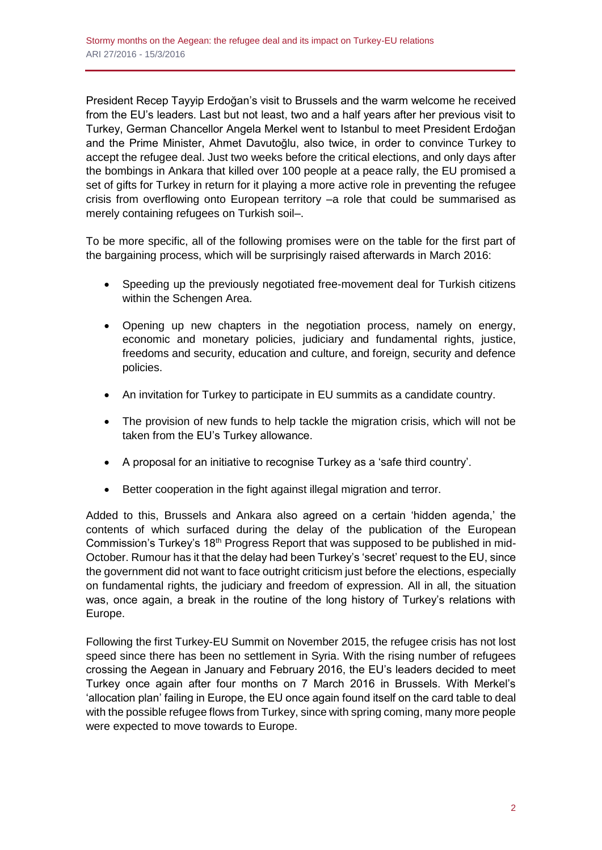President Recep Tayyip Erdoğan's visit to Brussels and the warm welcome he received from the EU's leaders. Last but not least, two and a half years after her previous visit to Turkey, German Chancellor Angela Merkel went to Istanbul to meet President Erdoğan and the Prime Minister, Ahmet Davutoğlu, also twice, in order to convince Turkey to accept the refugee deal. Just two weeks before the critical elections, and only days after the bombings in Ankara that killed over 100 people at a peace rally, the EU promised a set of gifts for Turkey in return for it playing a more active role in preventing the refugee crisis from overflowing onto European territory –a role that could be summarised as merely containing refugees on Turkish soil–.

To be more specific, all of the following promises were on the table for the first part of the bargaining process, which will be surprisingly raised afterwards in March 2016:

- Speeding up the previously negotiated free-movement deal for Turkish citizens within the Schengen Area.
- Opening up new chapters in the negotiation process, namely on energy, economic and monetary policies, judiciary and fundamental rights, justice, freedoms and security, education and culture, and foreign, security and defence policies.
- An invitation for Turkey to participate in EU summits as a candidate country.
- The provision of new funds to help tackle the migration crisis, which will not be taken from the EU's Turkey allowance.
- A proposal for an initiative to recognise Turkey as a 'safe third country'.
- Better cooperation in the fight against illegal migration and terror.

Added to this, Brussels and Ankara also agreed on a certain 'hidden agenda,' the contents of which surfaced during the delay of the publication of the European Commission's Turkey's 18<sup>th</sup> Progress Report that was supposed to be published in mid-October. Rumour has it that the delay had been Turkey's 'secret' request to the EU, since the government did not want to face outright criticism just before the elections, especially on fundamental rights, the judiciary and freedom of expression. All in all, the situation was, once again, a break in the routine of the long history of Turkey's relations with Europe.

Following the first Turkey-EU Summit on November 2015, the refugee crisis has not lost speed since there has been no settlement in Syria. With the rising number of refugees crossing the Aegean in January and February 2016, the EU's leaders decided to meet Turkey once again after four months on 7 March 2016 in Brussels. With Merkel's 'allocation plan' failing in Europe, the EU once again found itself on the card table to deal with the possible refugee flows from Turkey, since with spring coming, many more people were expected to move towards to Europe.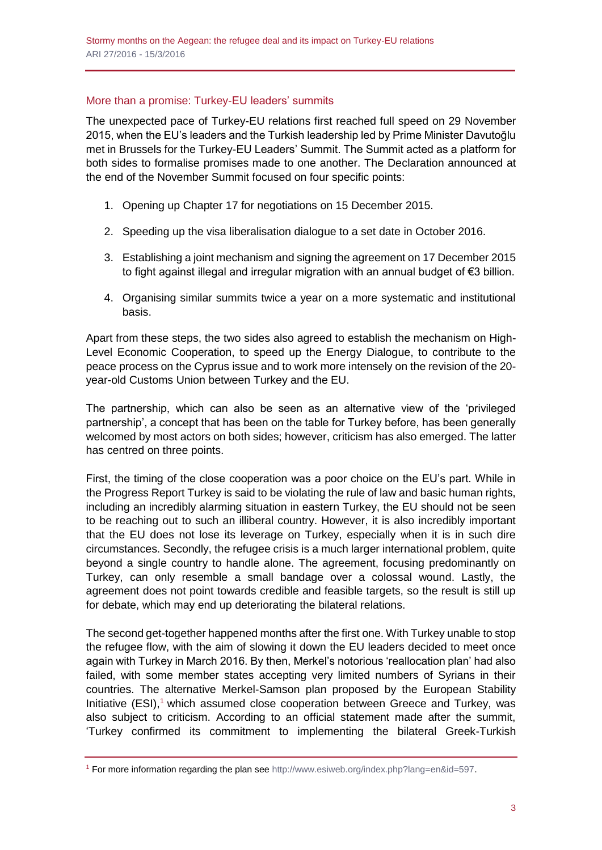## More than a promise: Turkey-EU leaders' summits

The unexpected pace of Turkey-EU relations first reached full speed on 29 November 2015, when the EU's leaders and the Turkish leadership led by Prime Minister Davutoğlu met in Brussels for the Turkey-EU Leaders' Summit. The Summit acted as a platform for both sides to formalise promises made to one another. The Declaration announced at the end of the November Summit focused on four specific points:

- 1. Opening up Chapter 17 for negotiations on 15 December 2015.
- 2. Speeding up the visa liberalisation dialogue to a set date in October 2016.
- 3. Establishing a joint mechanism and signing the agreement on 17 December 2015 to fight against illegal and irregular migration with an annual budget of €3 billion.
- 4. Organising similar summits twice a year on a more systematic and institutional basis.

Apart from these steps, the two sides also agreed to establish the mechanism on High-Level Economic Cooperation, to speed up the Energy Dialogue, to contribute to the peace process on the Cyprus issue and to work more intensely on the revision of the 20 year-old Customs Union between Turkey and the EU.

The partnership, which can also be seen as an alternative view of the 'privileged partnership', a concept that has been on the table for Turkey before, has been generally welcomed by most actors on both sides; however, criticism has also emerged. The latter has centred on three points.

First, the timing of the close cooperation was a poor choice on the EU's part. While in the Progress Report Turkey is said to be violating the rule of law and basic human rights, including an incredibly alarming situation in eastern Turkey, the EU should not be seen to be reaching out to such an illiberal country. However, it is also incredibly important that the EU does not lose its leverage on Turkey, especially when it is in such dire circumstances. Secondly, the refugee crisis is a much larger international problem, quite beyond a single country to handle alone. The agreement, focusing predominantly on Turkey, can only resemble a small bandage over a colossal wound. Lastly, the agreement does not point towards credible and feasible targets, so the result is still up for debate, which may end up deteriorating the bilateral relations.

The second get-together happened months after the first one. With Turkey unable to stop the refugee flow, with the aim of slowing it down the EU leaders decided to meet once again with Turkey in March 2016. By then, Merkel's notorious 'reallocation plan' had also failed, with some member states accepting very limited numbers of Syrians in their countries. The alternative Merkel-Samson plan proposed by the European Stability Initiative  $(ESI)$ ,<sup>1</sup> which assumed close cooperation between Greece and Turkey, was also subject to criticism. According to an official statement made after the summit, 'Turkey confirmed its commitment to implementing the bilateral Greek-Turkish

<sup>1</sup> For more information regarding the plan see [http://www.esiweb.org/index.php?lang=en&id=597.](http://www.esiweb.org/index.php?lang=en&id=597)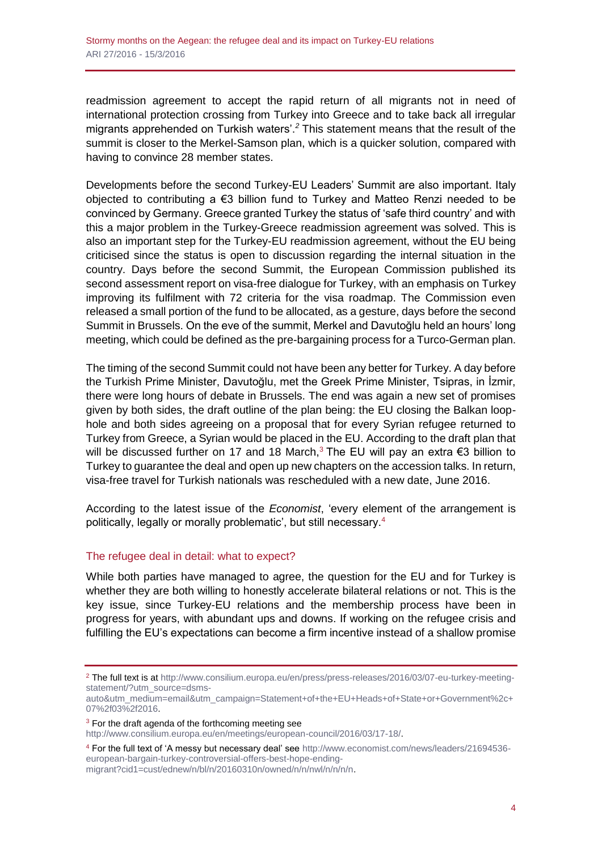readmission agreement to accept the rapid return of all migrants not in need of international protection crossing from Turkey into Greece and to take back all irregular migrants apprehended on Turkish waters'.*<sup>2</sup>* This statement means that the result of the summit is closer to the Merkel-Samson plan, which is a quicker solution, compared with having to convince 28 member states.

Developments before the second Turkey-EU Leaders' Summit are also important. Italy objected to contributing a €3 billion fund to Turkey and Matteo Renzi needed to be convinced by Germany. Greece granted Turkey the status of 'safe third country' and with this a major problem in the Turkey-Greece readmission agreement was solved. This is also an important step for the Turkey-EU readmission agreement, without the EU being criticised since the status is open to discussion regarding the internal situation in the country. Days before the second Summit, the European Commission published its second assessment report on visa-free dialogue for Turkey, with an emphasis on Turkey improving its fulfilment with 72 criteria for the visa roadmap. The Commission even released a small portion of the fund to be allocated, as a gesture, days before the second Summit in Brussels. On the eve of the summit, Merkel and Davutoğlu held an hours' long meeting, which could be defined as the pre-bargaining process for a Turco-German plan.

The timing of the second Summit could not have been any better for Turkey. A day before the Turkish Prime Minister, Davutoğlu, met the Greek Prime Minister, Tsipras, in İzmir, there were long hours of debate in Brussels. The end was again a new set of promises given by both sides, the draft outline of the plan being: the EU closing the Balkan loophole and both sides agreeing on a proposal that for every Syrian refugee returned to Turkey from Greece, a Syrian would be placed in the EU. According to the draft plan that will be discussed further on 17 and 18 March,<sup>3</sup> The EU will pay an extra  $\epsilon$ 3 billion to Turkey to guarantee the deal and open up new chapters on the accession talks. In return, visa-free travel for Turkish nationals was rescheduled with a new date, June 2016.

According to the latest issue of the *Economist*, 'every element of the arrangement is politically, legally or morally problematic', but still necessary.<sup>4</sup>

#### The refugee deal in detail: what to expect?

While both parties have managed to agree, the question for the EU and for Turkey is whether they are both willing to honestly accelerate bilateral relations or not. This is the key issue, since Turkey-EU relations and the membership process have been in progress for years, with abundant ups and downs. If working on the refugee crisis and fulfilling the EU's expectations can become a firm incentive instead of a shallow promise

<sup>2</sup> The full text is at [http://www.consilium.europa.eu/en/press/press-releases/2016/03/07-eu-turkey-meeting](http://www.consilium.europa.eu/en/press/press-releases/2016/03/07-eu-turkey-meeting-statement/?utm_source=dsms-auto&utm_medium=email&utm_campaign=Statement+of+the+EU+Heads+of+State+or+Government%2c+07%2f03%2f2016)[statement/?utm\\_source=dsms-](http://www.consilium.europa.eu/en/press/press-releases/2016/03/07-eu-turkey-meeting-statement/?utm_source=dsms-auto&utm_medium=email&utm_campaign=Statement+of+the+EU+Heads+of+State+or+Government%2c+07%2f03%2f2016)

[auto&utm\\_medium=email&utm\\_campaign=Statement+of+the+EU+Heads+of+State+or+Government%2c+](http://www.consilium.europa.eu/en/press/press-releases/2016/03/07-eu-turkey-meeting-statement/?utm_source=dsms-auto&utm_medium=email&utm_campaign=Statement+of+the+EU+Heads+of+State+or+Government%2c+07%2f03%2f2016) [07%2f03%2f2016.](http://www.consilium.europa.eu/en/press/press-releases/2016/03/07-eu-turkey-meeting-statement/?utm_source=dsms-auto&utm_medium=email&utm_campaign=Statement+of+the+EU+Heads+of+State+or+Government%2c+07%2f03%2f2016)

 $3$  For the draft agenda of the forthcoming meeting see

[http://www.consilium.europa.eu/en/meetings/european-council/2016/03/17-18/.](http://www.consilium.europa.eu/en/meetings/european-council/2016/03/17-18/)

<sup>4</sup> For the full text of 'A messy but necessary deal' see [http://www.economist.com/news/leaders/21694536](http://www.economist.com/news/leaders/21694536-european-bargain-turkey-controversial-offers-best-hope-ending-migrant?cid1=cust/ednew/n/bl/n/20160310n/owned/n/n/nwl/n/n/n/n) [european-bargain-turkey-controversial-offers-best-hope-ending-](http://www.economist.com/news/leaders/21694536-european-bargain-turkey-controversial-offers-best-hope-ending-migrant?cid1=cust/ednew/n/bl/n/20160310n/owned/n/n/nwl/n/n/n/n)

[migrant?cid1=cust/ednew/n/bl/n/20160310n/owned/n/n/nwl/n/n/n/n.](http://www.economist.com/news/leaders/21694536-european-bargain-turkey-controversial-offers-best-hope-ending-migrant?cid1=cust/ednew/n/bl/n/20160310n/owned/n/n/nwl/n/n/n/n)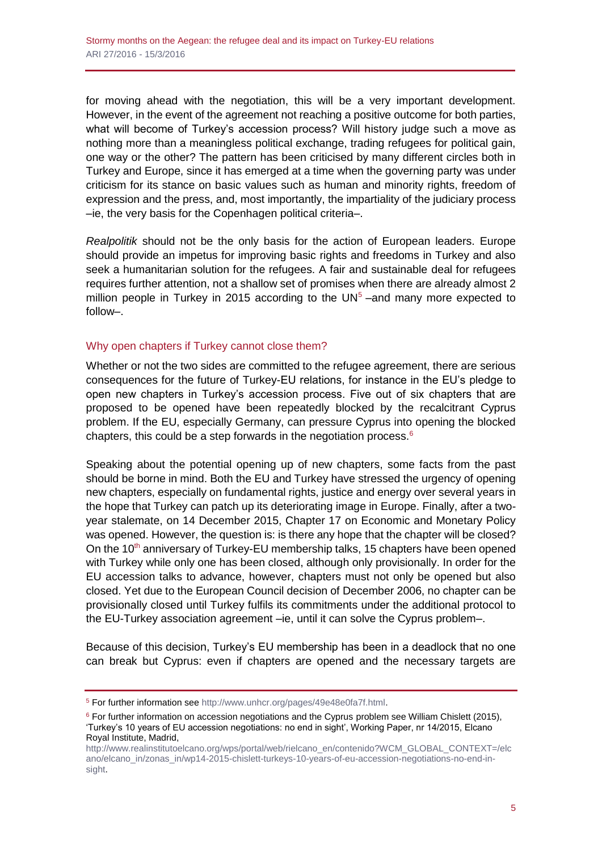for moving ahead with the negotiation, this will be a very important development. However, in the event of the agreement not reaching a positive outcome for both parties, what will become of Turkey's accession process? Will history judge such a move as nothing more than a meaningless political exchange, trading refugees for political gain, one way or the other? The pattern has been criticised by many different circles both in Turkey and Europe, since it has emerged at a time when the governing party was under criticism for its stance on basic values such as human and minority rights, freedom of expression and the press, and, most importantly, the impartiality of the judiciary process –ie, the very basis for the Copenhagen political criteria–.

*Realpolitik* should not be the only basis for the action of European leaders. Europe should provide an impetus for improving basic rights and freedoms in Turkey and also seek a humanitarian solution for the refugees. A fair and sustainable deal for refugees requires further attention, not a shallow set of promises when there are already almost 2 million people in Turkey in 2015 according to the  $UN<sup>5</sup>$  –and many more expected to follow–.

## Why open chapters if Turkey cannot close them?

Whether or not the two sides are committed to the refugee agreement, there are serious consequences for the future of Turkey-EU relations, for instance in the EU's pledge to open new chapters in Turkey's accession process. Five out of six chapters that are proposed to be opened have been repeatedly blocked by the recalcitrant Cyprus problem. If the EU, especially Germany, can pressure Cyprus into opening the blocked chapters, this could be a step forwards in the negotiation process.<sup>6</sup>

Speaking about the potential opening up of new chapters, some facts from the past should be borne in mind. Both the EU and Turkey have stressed the urgency of opening new chapters, especially on fundamental rights, justice and energy over several years in the hope that Turkey can patch up its deteriorating image in Europe. Finally, after a twoyear stalemate, on 14 December 2015, Chapter 17 on Economic and Monetary Policy was opened. However, the question is: is there any hope that the chapter will be closed? On the  $10<sup>th</sup>$  anniversary of Turkey-EU membership talks, 15 chapters have been opened with Turkey while only one has been closed, although only provisionally. In order for the EU accession talks to advance, however, chapters must not only be opened but also closed. Yet due to the European Council decision of December 2006, no chapter can be provisionally closed until Turkey fulfils its commitments under the additional protocol to the EU-Turkey association agreement –ie, until it can solve the Cyprus problem–.

Because of this decision, Turkey's EU membership has been in a deadlock that no one can break but Cyprus: even if chapters are opened and the necessary targets are

<sup>5</sup> For further information se[e http://www.unhcr.org/pages/49e48e0fa7f.html.](http://www.unhcr.org/pages/49e48e0fa7f.html)

 $6$  For further information on accession negotiations and the Cyprus problem see William Chislett (2015), 'Turkey's 10 years of EU accession negotiations: no end in sight', Working Paper, nr 14/2015, Elcano Royal Institute, Madrid,

[http://www.realinstitutoelcano.org/wps/portal/web/rielcano\\_en/contenido?WCM\\_GLOBAL\\_CONTEXT=/elc](http://www.realinstitutoelcano.org/wps/portal/web/rielcano_en/contenido?WCM_GLOBAL_CONTEXT=/elcano/elcano_in/zonas_in/wp14-2015-chislett-turkeys-10-years-of-eu-accession-negotiations-no-end-in-sight) [ano/elcano\\_in/zonas\\_in/wp14-2015-chislett-turkeys-10-years-of-eu-accession-negotiations-no-end-in](http://www.realinstitutoelcano.org/wps/portal/web/rielcano_en/contenido?WCM_GLOBAL_CONTEXT=/elcano/elcano_in/zonas_in/wp14-2015-chislett-turkeys-10-years-of-eu-accession-negotiations-no-end-in-sight)[sight.](http://www.realinstitutoelcano.org/wps/portal/web/rielcano_en/contenido?WCM_GLOBAL_CONTEXT=/elcano/elcano_in/zonas_in/wp14-2015-chislett-turkeys-10-years-of-eu-accession-negotiations-no-end-in-sight)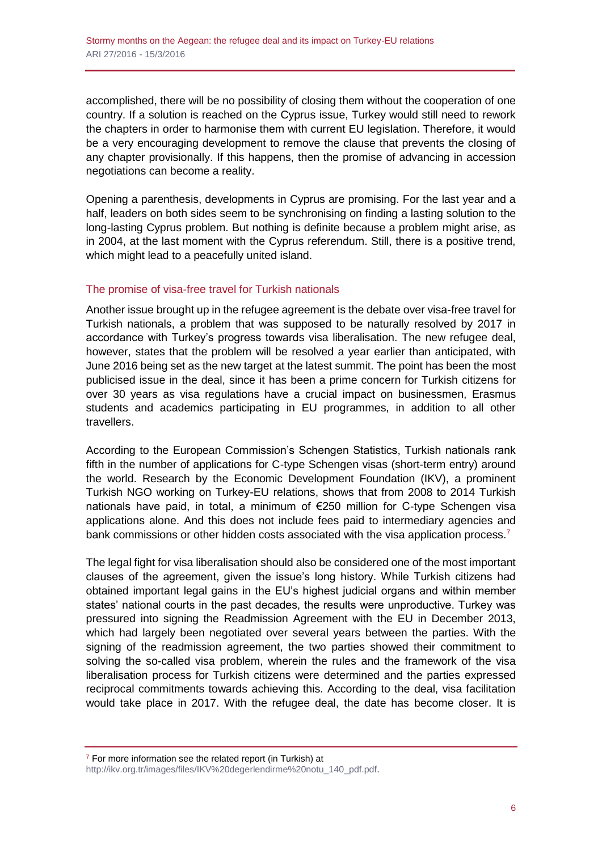accomplished, there will be no possibility of closing them without the cooperation of one country. If a solution is reached on the Cyprus issue, Turkey would still need to rework the chapters in order to harmonise them with current EU legislation. Therefore, it would be a very encouraging development to remove the clause that prevents the closing of any chapter provisionally. If this happens, then the promise of advancing in accession negotiations can become a reality.

Opening a parenthesis, developments in Cyprus are promising. For the last year and a half, leaders on both sides seem to be synchronising on finding a lasting solution to the long-lasting Cyprus problem. But nothing is definite because a problem might arise, as in 2004, at the last moment with the Cyprus referendum. Still, there is a positive trend, which might lead to a peacefully united island.

## The promise of visa-free travel for Turkish nationals

Another issue brought up in the refugee agreement is the debate over visa-free travel for Turkish nationals, a problem that was supposed to be naturally resolved by 2017 in accordance with Turkey's progress towards visa liberalisation. The new refugee deal, however, states that the problem will be resolved a year earlier than anticipated, with June 2016 being set as the new target at the latest summit. The point has been the most publicised issue in the deal, since it has been a prime concern for Turkish citizens for over 30 years as visa regulations have a crucial impact on businessmen, Erasmus students and academics participating in EU programmes, in addition to all other travellers.

According to the European Commission's Schengen Statistics, Turkish nationals rank fifth in the number of applications for C-type Schengen visas (short-term entry) around the world. Research by the Economic Development Foundation (IKV), a prominent Turkish NGO working on Turkey-EU relations, shows that from 2008 to 2014 Turkish nationals have paid, in total, a minimum of €250 million for C-type Schengen visa applications alone. And this does not include fees paid to intermediary agencies and bank commissions or other hidden costs associated with the visa application process.<sup>7</sup>

The legal fight for visa liberalisation should also be considered one of the most important clauses of the agreement, given the issue's long history. While Turkish citizens had obtained important legal gains in the EU's highest judicial organs and within member states' national courts in the past decades, the results were unproductive. Turkey was pressured into signing the Readmission Agreement with the EU in December 2013, which had largely been negotiated over several years between the parties. With the signing of the readmission agreement, the two parties showed their commitment to solving the so-called visa problem, wherein the rules and the framework of the visa liberalisation process for Turkish citizens were determined and the parties expressed reciprocal commitments towards achieving this. According to the deal, visa facilitation would take place in 2017. With the refugee deal, the date has become closer. It is

 $7$  For more information see the related report (in Turkish) at [http://ikv.org.tr/images/files/IKV%20degerlendirme%20notu\\_140\\_pdf.pdf.](http://ikv.org.tr/images/files/IKV%20degerlendirme%20notu_140_pdf.pdf)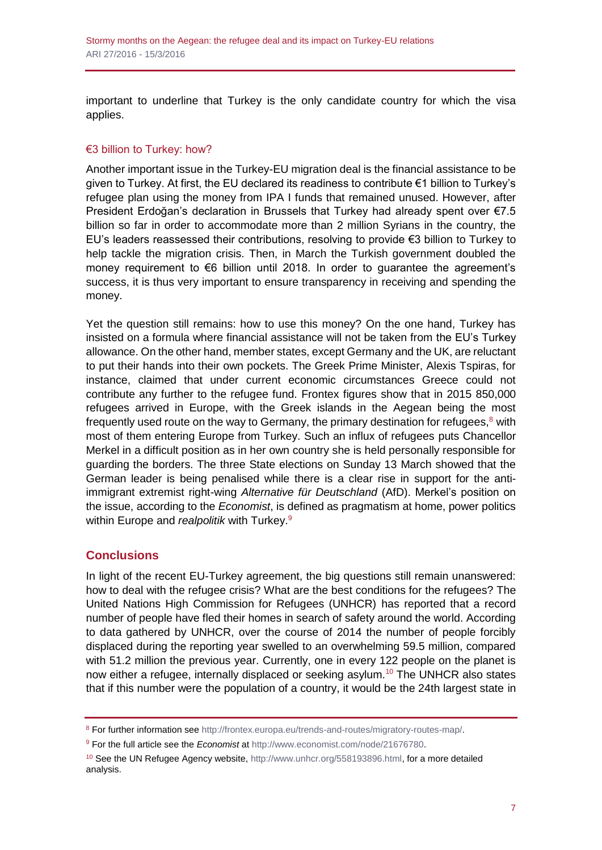important to underline that Turkey is the only candidate country for which the visa applies.

# €3 billion to Turkey: how?

Another important issue in the Turkey-EU migration deal is the financial assistance to be given to Turkey. At first, the EU declared its readiness to contribute €1 billion to Turkey's refugee plan using the money from IPA I funds that remained unused. However, after President Erdoğan's declaration in Brussels that Turkey had already spent over €7.5 billion so far in order to accommodate more than 2 million Syrians in the country, the EU's leaders reassessed their contributions, resolving to provide €3 billion to Turkey to help tackle the migration crisis. Then, in March the Turkish government doubled the money requirement to €6 billion until 2018. In order to guarantee the agreement's success, it is thus very important to ensure transparency in receiving and spending the money.

Yet the question still remains: how to use this money? On the one hand, Turkey has insisted on a formula where financial assistance will not be taken from the EU's Turkey allowance. On the other hand, member states, except Germany and the UK, are reluctant to put their hands into their own pockets. The Greek Prime Minister, Alexis Tspiras, for instance, claimed that under current economic circumstances Greece could not contribute any further to the refugee fund. Frontex figures show that in 2015 850,000 refugees arrived in Europe, with the Greek islands in the Aegean being the most frequently used route on the way to Germany, the primary destination for refugees, $8$  with most of them entering Europe from Turkey. Such an influx of refugees puts Chancellor Merkel in a difficult position as in her own country she is held personally responsible for guarding the borders. The three State elections on Sunday 13 March showed that the German leader is being penalised while there is a clear rise in support for the antiimmigrant extremist right-wing *Alternative für Deutschland* (AfD). Merkel's position on the issue, according to the *Economist*, is defined as pragmatism at home, power politics within Europe and *realpolitik* with Turkey.<sup>9</sup>

# **Conclusions**

In light of the recent EU-Turkey agreement, the big questions still remain unanswered: how to deal with the refugee crisis? What are the best conditions for the refugees? The United Nations High Commission for Refugees (UNHCR) has reported that a record number of people have fled their homes in search of safety around the world. According to data gathered by UNHCR, over the course of 2014 the number of people forcibly displaced during the reporting year swelled to an overwhelming 59.5 million, compared with 51.2 million the previous year. Currently, one in every 122 people on the planet is now either a refugee, internally displaced or seeking asylum.<sup>10</sup> The UNHCR also states that if this number were the population of a country, it would be the 24th largest state in

<sup>8</sup> For further information se[e http://frontex.europa.eu/trends-and-routes/migratory-routes-map/.](http://frontex.europa.eu/trends-and-routes/migratory-routes-map/)

<sup>9</sup> For the full article see the *Economist* at [http://www.economist.com/node/21676780.](http://www.economist.com/node/21676780)

<sup>&</sup>lt;sup>10</sup> See the UN Refugee Agency website, [http://www.unhcr.org/558193896.html,](http://www.unhcr.org/558193896.html) for a more detailed analysis.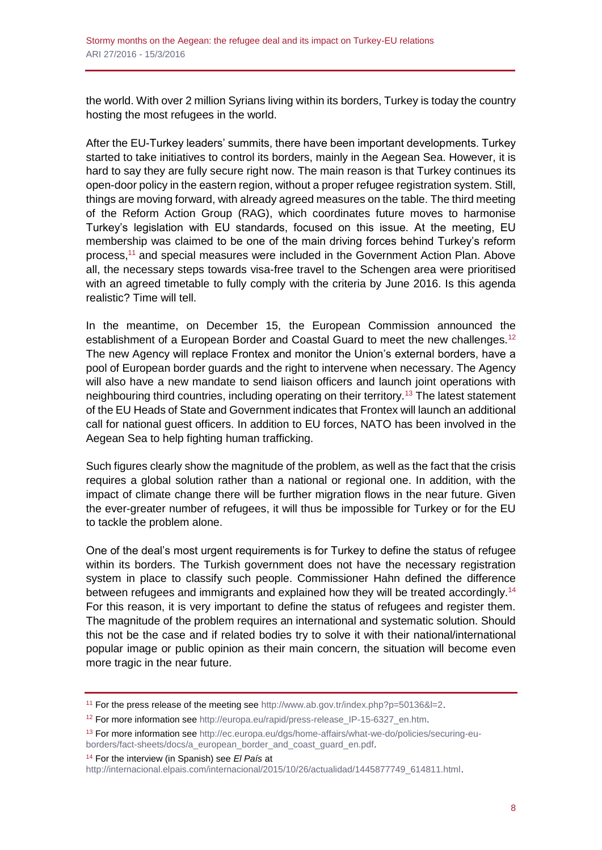the world. With over 2 million Syrians living within its borders, Turkey is today the country hosting the most refugees in the world.

After the EU-Turkey leaders' summits, there have been important developments. Turkey started to take initiatives to control its borders, mainly in the Aegean Sea. However, it is hard to say they are fully secure right now. The main reason is that Turkey continues its open-door policy in the eastern region, without a proper refugee registration system. Still, things are moving forward, with already agreed measures on the table. The third meeting of the Reform Action Group (RAG), which coordinates future moves to harmonise Turkey's legislation with EU standards, focused on this issue. At the meeting, EU membership was claimed to be one of the main driving forces behind Turkey's reform process,<sup>11</sup> and special measures were included in the Government Action Plan. Above all, the necessary steps towards visa-free travel to the Schengen area were prioritised with an agreed timetable to fully comply with the criteria by June 2016. Is this agenda realistic? Time will tell.

In the meantime, on December 15, the European Commission announced the establishment of a European Border and Coastal Guard to meet the new challenges.<sup>12</sup> The new Agency will replace Frontex and monitor the Union's external borders, have a pool of European border guards and the right to intervene when necessary. The Agency will also have a new mandate to send liaison officers and launch joint operations with neighbouring third countries, including operating on their territory.<sup>13</sup> The latest statement of the EU Heads of State and Government indicates that Frontex will launch an additional call for national guest officers. In addition to EU forces, NATO has been involved in the Aegean Sea to help fighting human trafficking.

Such figures clearly show the magnitude of the problem, as well as the fact that the crisis requires a global solution rather than a national or regional one. In addition, with the impact of climate change there will be further migration flows in the near future. Given the ever-greater number of refugees, it will thus be impossible for Turkey or for the EU to tackle the problem alone.

One of the deal's most urgent requirements is for Turkey to define the status of refugee within its borders. The Turkish government does not have the necessary registration system in place to classify such people. Commissioner Hahn defined the difference between refugees and immigrants and explained how they will be treated accordingly.<sup>14</sup> For this reason, it is very important to define the status of refugees and register them. The magnitude of the problem requires an international and systematic solution. Should this not be the case and if related bodies try to solve it with their national/international popular image or public opinion as their main concern, the situation will become even more tragic in the near future.

<sup>14</sup> For the interview (in Spanish) see *El País* at

<sup>11</sup> For the press release of the meeting see [http://www.ab.gov.tr/index.php?p=50136&l=2.](http://www.ab.gov.tr/index.php?p=50136&l=2)

<sup>12</sup> For more information see [http://europa.eu/rapid/press-release\\_IP-15-6327\\_en.htm.](http://europa.eu/rapid/press-release_IP-15-6327_en.htm)

<sup>&</sup>lt;sup>13</sup> For more information see [http://ec.europa.eu/dgs/home-affairs/what-we-do/policies/securing-eu](http://ec.europa.eu/dgs/home-affairs/what-we-do/policies/securing-eu-borders/fact-sheets/docs/a_european_border_and_coast_guard_en.pdf)[borders/fact-sheets/docs/a\\_european\\_border\\_and\\_coast\\_guard\\_en.pdf.](http://ec.europa.eu/dgs/home-affairs/what-we-do/policies/securing-eu-borders/fact-sheets/docs/a_european_border_and_coast_guard_en.pdf)

[http://internacional.elpais.com/internacional/2015/10/26/actualidad/1445877749\\_614811.html.](http://internacional.elpais.com/internacional/2015/10/26/actualidad/1445877749_614811.html)